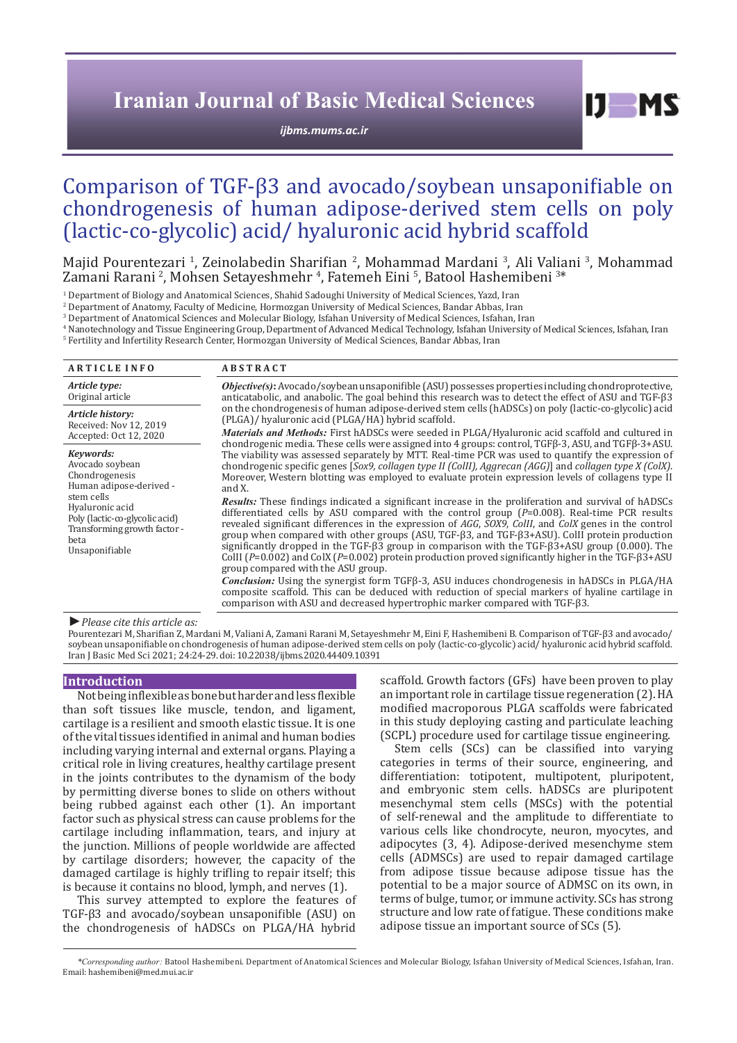## **Iranian Journal of Basic Medical Sciences**

*[ijbms.mums.ac.ir](http://ijbms.mums.ac.ir)*

 $I$   $I$   $M$   $S$ 

# Comparison of TGF-β3 and avocado/soybean unsaponifiable on chondrogenesis of human adipose-derived stem cells on poly (lactic-co-glycolic) acid/ hyaluronic acid hybrid scaffold

Majid Pourentezari <sup>1</sup>, Zeinolabedin Sharifian <sup>2</sup>, Mohammad Mardani <sup>3</sup>, Ali Valiani <sup>3</sup>, Mohammad Zamani Rarani <sup>2</sup>, Mohsen Setayeshmehr <sup>4</sup>, Fatemeh Eini <sup>5</sup>, Batool Hashemibeni <sup>3\*</sup>

1 Department of Biology and Anatomical Sciences, Shahid Sadoughi University of Medical Sciences, Yazd, Iran

2 Department of Anatomy, Faculty of Medicine, Hormozgan University of Medical Sciences, Bandar Abbas, Iran

3 Department of Anatomical Sciences and Molecular Biology, Isfahan University of Medical Sciences, Isfahan, Iran

4 Nanotechnology and Tissue Engineering Group, Department of Advanced Medical Technology, Isfahan University of Medical Sciences, Isfahan, Iran 5 Fertility and Infertility Research Center, Hormozgan University of Medical Sciences, Bandar Abbas, Iran

| <b>ARTICLE INFO</b>                                                                                                       | <b>ABSTRACT</b>                                                                                                                                                                                                                                                                                                                                                                                                                                                                                                                                                                                                                                                                                             |
|---------------------------------------------------------------------------------------------------------------------------|-------------------------------------------------------------------------------------------------------------------------------------------------------------------------------------------------------------------------------------------------------------------------------------------------------------------------------------------------------------------------------------------------------------------------------------------------------------------------------------------------------------------------------------------------------------------------------------------------------------------------------------------------------------------------------------------------------------|
| Article type:<br>Original article                                                                                         | <i>Objective(s)</i> : Avocado/soybean unsaponifible (ASU) possesses properties including chondroprotective,<br>anticatabolic, and anabolic. The goal behind this research was to detect the effect of ASU and TGF-ß3                                                                                                                                                                                                                                                                                                                                                                                                                                                                                        |
| Article history:<br>Received: Nov 12, 2019<br>Accepted: Oct 12, 2020                                                      | on the chondrogenesis of human adipose-derived stem cells (hADSCs) on poly (lactic-co-glycolic) acid<br>(PLGA)/ hyaluronic acid (PLGA/HA) hybrid scaffold.<br><i>Materials and Methods:</i> First hADSCs were seeded in PLGA/Hyaluronic acid scaffold and cultured in<br>chondrogenic media. These cells were assigned into 4 groups: control, TGFB-3, ASU, and TGFB-3+ASU.                                                                                                                                                                                                                                                                                                                                 |
| Keywords:<br>Avocado soybean<br>Chondrogenesis<br>Human adipose-derived -                                                 | The viability was assessed separately by MTT. Real-time PCR was used to quantify the expression of<br>chondrogenic specific genes [Sox9, collagen type II (ColII), Aggrecan (AGG)] and collagen type X (ColX).<br>Moreover, Western blotting was employed to evaluate protein expression levels of collagens type II<br>and X.                                                                                                                                                                                                                                                                                                                                                                              |
| stem cells<br>Hyaluronic acid<br>Poly (lactic-co-glycolic acid)<br>Transforming growth factor -<br>beta<br>Unsaponifiable | Results: These findings indicated a significant increase in the proliferation and survival of hADSCs<br>differentiated cells by ASU compared with the control group $(P=0.008)$ . Real-time PCR results<br>revealed significant differences in the expression of AGG, SOX9, CollI, and ColX genes in the control<br>group when compared with other groups (ASU, $TGF-\beta3, and TGF-\beta3+ASU$ ). CollI protein production<br>significantly dropped in the TGF- $\beta$ 3 group in comparison with the TGF- $\beta$ 3+ASU group (0.000). The<br>CollI ( $P=0.002$ ) and ColX ( $P=0.002$ ) protein production proved significantly higher in the TGF- $\beta$ 3+ASU<br>group compared with the ASU group. |
|                                                                                                                           | Conclusion: Using the synergist form TGFß-3, ASU induces chondrogenesis in hADSCs in PLGA/HA<br>composite scaffold. This can be deduced with reduction of special markers of hyaline cartilage in<br>comparison with ASU and decreased hypertrophic marker compared with TGF-63.                                                                                                                                                                                                                                                                                                                                                                                                                            |

#### *►Please cite this article as:*

Pourentezari M, Sharifian Z, Mardani M, Valiani A, Zamani Rarani M, Setayeshmehr M, Eini F, Hashemibeni B. Comparison of TGF-β3 and avocado/ soybean unsaponifiable on chondrogenesis of human adipose-derived stem cells on poly (lactic-co-glycolic) acid/ hyaluronic acid hybrid scaffold. Iran J Basic Med Sci 2021; 24:24-29. doi: 10.22038/ijbms.2020.44409.10391

#### **Introduction**

Not being inflexible as bone but harder and less flexible than soft tissues like muscle, tendon, and ligament, cartilage is a resilient and smooth elastic tissue. It is one of the vital tissues identified in animal and human bodies including varying internal and external organs. Playing a critical role in living creatures, healthy cartilage present in the joints contributes to the dynamism of the body by permitting diverse bones to slide on others without being rubbed against each other (1). An important factor such as physical stress can cause problems for the cartilage including inflammation, tears, and injury at the junction. Millions of people worldwide are affected by cartilage disorders; however, the capacity of the damaged cartilage is highly trifling to repair itself; this is because it contains no blood, lymph, and nerves (1).

This survey attempted to explore the features of TGF-β3 and avocado/soybean unsaponifible (ASU) on the chondrogenesis of hADSCs on PLGA/HA hybrid

scaffold. Growth factors (GFs) have been proven to play an important role in cartilage tissue regeneration (2). HA modified macroporous PLGA scaffolds were fabricated in this study deploying casting and particulate leaching (SCPL) procedure used for cartilage tissue engineering.

Stem cells (SCs) can be classified into varying categories in terms of their source, engineering, and differentiation: totipotent, multipotent, pluripotent, and embryonic stem cells. hADSCs are pluripotent mesenchymal stem cells (MSCs) with the potential of self-renewal and the amplitude to differentiate to various cells like chondrocyte, neuron, myocytes, and adipocytes (3, 4). Adipose-derived mesenchyme stem cells (ADMSCs) are used to repair damaged cartilage from adipose tissue because adipose tissue has the potential to be a major source of ADMSC on its own, in terms of bulge, tumor, or immune activity. SCs has strong structure and low rate of fatigue. These conditions make adipose tissue an important source of SCs (5).

*\*Corresponding author:* Batool Hashemibeni. Department of Anatomical Sciences and Molecular Biology, Isfahan University of Medical Sciences, Isfahan, Iran. Email: hashemibeni@med.mui.ac.ir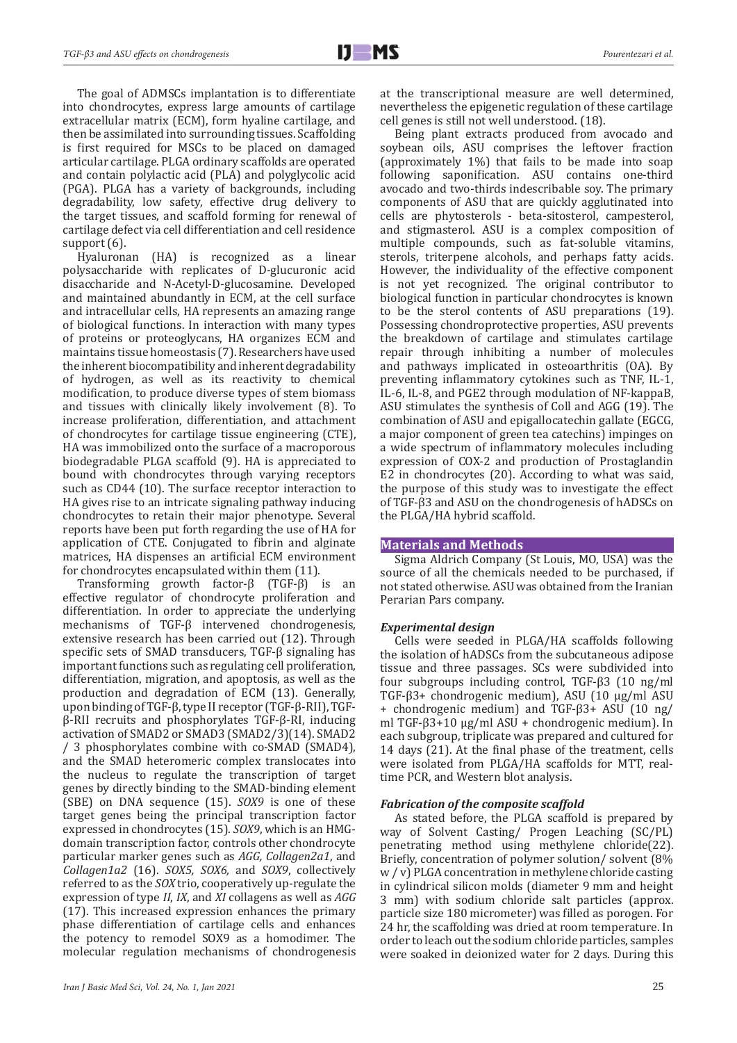The goal of ADMSCs implantation is to differentiate into chondrocytes, express large amounts of cartilage extracellular matrix (ECM), form hyaline cartilage, and then be assimilated into surrounding tissues. Scaffolding is first required for MSCs to be placed on damaged articular cartilage. PLGA ordinary scaffolds are operated and contain polylactic acid (PLA) and polyglycolic acid (PGA). PLGA has a variety of backgrounds, including degradability, low safety, effective drug delivery to the target tissues, and scaffold forming for renewal of cartilage defect via cell differentiation and cell residence support  $(6)$ .

Hyaluronan (HA) is recognized as a linear polysaccharide with replicates of D-glucuronic acid disaccharide and N-Acetyl-D-glucosamine. Developed and maintained abundantly in ECM, at the cell surface and intracellular cells, HA represents an amazing range of biological functions. In interaction with many types of proteins or proteoglycans, HA organizes ECM and maintains tissue homeostasis (7). Researchers have used the inherent biocompatibility and inherent degradability of hydrogen, as well as its reactivity to chemical modification, to produce diverse types of stem biomass and tissues with clinically likely involvement (8). To increase proliferation, differentiation, and attachment of chondrocytes for cartilage tissue engineering (CTE), HA was immobilized onto the surface of a macroporous biodegradable PLGA scaffold (9). HA is appreciated to bound with chondrocytes through varying receptors such as CD44 (10). The surface receptor interaction to HA gives rise to an intricate signaling pathway inducing chondrocytes to retain their major phenotype. Several reports have been put forth regarding the use of HA for application of CTE. Conjugated to fibrin and alginate matrices, HA dispenses an artificial ECM environment for chondrocytes encapsulated within them (11).

Transforming growth factor-β (TGF-β) is an effective regulator of chondrocyte proliferation and differentiation. In order to appreciate the underlying mechanisms of TGF-β intervened chondrogenesis, extensive research has been carried out (12). Through specific sets of SMAD transducers, TGF-β signaling has important functions such as regulating cell proliferation, differentiation, migration, and apoptosis, as well as the production and degradation of ECM (13). Generally, upon binding of TGF-β, type II receptor (TGF-β-RII), TGFβ-RII recruits and phosphorylates TGF-β-RI, inducing activation of SMAD2 or SMAD3 (SMAD2/3)(14). SMAD2 / 3 phosphorylates combine with co-SMAD (SMAD4), and the SMAD heteromeric complex translocates into the nucleus to regulate the transcription of target genes by directly binding to the SMAD-binding element (SBE) on DNA sequence (15). *SOX9* is one of these target genes being the principal transcription factor expressed in chondrocytes (15). *SOX9*, which is an HMGdomain transcription factor, controls other chondrocyte particular marker genes such as *AGG, Collagen2a1*, and *Collagen1a2* (16). *SOX5, SOX6,* and *SOX9*, collectively referred to as the *SOX* trio, cooperatively up-regulate the expression of type *II*, *IX*, and *XI* collagens as well as *AGG* (17). This increased expression enhances the primary phase differentiation of cartilage cells and enhances the potency to remodel SOX9 as a homodimer. The molecular regulation mechanisms of chondrogenesis

at the transcriptional measure are well determined, nevertheless the epigenetic regulation of these cartilage cell genes is still not well understood. (18).

Being plant extracts produced from avocado and soybean oils, ASU comprises the leftover fraction (approximately 1%) that fails to be made into soap following saponification. ASU contains one-third avocado and two-thirds indescribable soy. The primary components of ASU that are quickly agglutinated into cells are phytosterols - beta-sitosterol, campesterol, and stigmasterol. ASU is a complex composition of multiple compounds, such as fat-soluble vitamins, sterols, triterpene alcohols, and perhaps fatty acids. However, the individuality of the effective component is not yet recognized. The original contributor to biological function in particular chondrocytes is known to be the sterol contents of ASU preparations (19). Possessing chondroprotective properties, ASU prevents the breakdown of cartilage and stimulates cartilage repair through inhibiting a number of molecules and pathways implicated in osteoarthritis (OA). By preventing inflammatory cytokines such as TNF, IL-1, IL-6, IL-8, and PGE2 through modulation of NF-kappaB, ASU stimulates the synthesis of Coll and AGG (19). The combination of ASU and epigallocatechin gallate (EGCG, a major component of green tea catechins) impinges on a wide spectrum of inflammatory molecules including expression of COX-2 and production of Prostaglandin E2 in chondrocytes (20). According to what was said, the purpose of this study was to investigate the effect of TGF-β3 and ASU on the chondrogenesis of hADSCs on the PLGA/HA hybrid scaffold.

#### **Materials and Methods**

Sigma Aldrich Company (St Louis, MO, USA) was the source of all the chemicals needed to be purchased, if not stated otherwise. ASU was obtained from the Iranian Perarian Pars company.

#### *Experimental design*

Cells were seeded in PLGA/HA scaffolds following the isolation of hADSCs from the subcutaneous adipose tissue and three passages. SCs were subdivided into four subgroups including control, TGF-β3 (10 ng/ml TGF-β3+ chondrogenic medium), ASU (10 µg/ml ASU + chondrogenic medium) and TGF-β3+ ASU (10 ng/ ml TGF-β3+10 µg/ml ASU + chondrogenic medium). In each subgroup, triplicate was prepared and cultured for 14 days (21). At the final phase of the treatment, cells were isolated from PLGA/HA scaffolds for MTT, realtime PCR, and Western blot analysis.

#### *Fabrication of the composite scaffold*

As stated before, the PLGA scaffold is prepared by way of Solvent Casting/ Progen Leaching (SC/PL) penetrating method using methylene chloride(22). Briefly, concentration of polymer solution/ solvent (8% w / v) PLGA concentration in methylene chloride casting in cylindrical silicon molds (diameter 9 mm and height 3 mm) with sodium chloride salt particles (approx. particle size 180 micrometer) was filled as porogen. For 24 hr, the scaffolding was dried at room temperature. In order to leach out the sodium chloride particles, samples were soaked in deionized water for 2 days. During this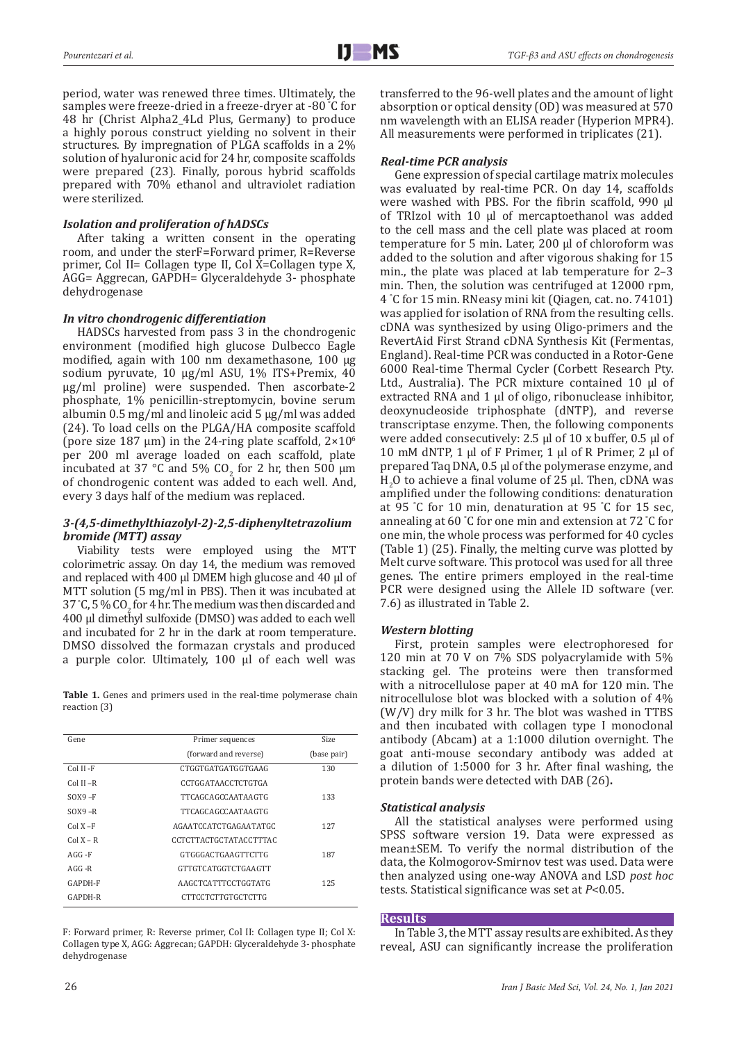period, water was renewed three times. Ultimately, the samples were freeze-dried in a freeze-dryer at -80 ° C for 48 hr (Christ Alpha2\_4Ld Plus, Germany) to produce a highly porous construct yielding no solvent in their structures. By impregnation of PLGA scaffolds in a 2% solution of hyaluronic acid for 24 hr, composite scaffolds were prepared (23). Finally, porous hybrid scaffolds prepared with 70% ethanol and ultraviolet radiation were sterilized.

### *Isolation and proliferation of hADSCs*

After taking a written consent in the operating room, and under the sterF=Forward primer, R=Reverse primer, Col II= Collagen type II, Col  $\hat{X}$ =Collagen type X, AGG= Aggrecan, GAPDH= Glyceraldehyde 3- phosphate dehydrogenase

## *In vitro chondrogenic differentiation*

HADSCs harvested from pass 3 in the chondrogenic environment (modified high glucose Dulbecco Eagle modified, again with 100 nm dexamethasone, 100 μg sodium pyruvate, 10 μg/ml ASU, 1% ITS+Premix, 40 μg/ml proline) were suspended. Then ascorbate-2 phosphate, 1% penicillin-streptomycin, bovine serum albumin 0.5 mg/ml and linoleic acid 5 μg/ml was added (24). To load cells on the PLGA/HA composite scaffold (pore size 187  $\mu$ m) in the 24-ring plate scaffold,  $2\times10^{6}$ per 200 ml average loaded on each scaffold, plate incubated at 37 °C and 5%  $CO_2$  for 2 hr, then 500  $\mu$ m of chondrogenic content was added to each well. And, every 3 days half of the medium was replaced.

#### *3-(4,5-dimethylthiazolyl-2)-2,5-diphenyltetrazolium bromide (MTT) assay*

Viability tests were employed using the MTT colorimetric assay. On day 14, the medium was removed and replaced with 400 µl DMEM high glucose and 40 µl of MTT solution (5 mg/ml in PBS). Then it was incubated at 37 °C, 5 % CO<sub>2</sub> for 4 hr. The medium was then discarded and 400 µl dimethyl sulfoxide (DMSO) was added to each well and incubated for 2 hr in the dark at room temperature. DMSO dissolved the formazan crystals and produced a purple color. Ultimately, 100 µl of each well was

Table 1. Genes and primers used in the real-time polymerase chain reaction (3)

| Gene         | Primer sequences           | <b>Size</b> |
|--------------|----------------------------|-------------|
|              | (forward and reverse)      | (base pair) |
| Col II - F   | CTGGTGATGATGGTGAAG         | 130         |
| $Col II - R$ | CCTGGATAACCTCTGTGA         |             |
| $SOX9-F$     | TTCAGCAGCCAATAAGTG         | 133         |
| $SOX9 - R$   | TTCAGCAGCCAATAAGTG         |             |
| $ColX-F$     | AGAATCCATCTGAGAATATGC      | 127         |
| $ColX - R$   | CCTCTTACTGCTATACCTTTAC     |             |
| $AGG - F$    | <b>GTGGGACTGAAGTTCTTG</b>  | 187         |
| $AGG - R$    | <b>GTTGTCATGGTCTGAAGTT</b> |             |
| GAPDH-F      | AAGCTCATTTCCTGGTATG        | 125         |
| GAPDH-R      | CTTCCTCTTGTGCTCTTG         |             |

F: Forward primer, R: Reverse primer, Col II: Collagen type II; Col X: Collagen type X, AGG: Aggrecan; GAPDH: Glyceraldehyde 3- phosphate dehydrogenase

transferred to the 96-well plates and the amount of light absorption or optical density (OD) was measured at 570 nm wavelength with an ELISA reader (Hyperion MPR4). All measurements were performed in triplicates (21).

## *Real-time PCR analysis*

Gene expression of special cartilage matrix molecules was evaluated by real-time PCR. On day 14, scaffolds were washed with PBS. For the fibrin scaffold, 990 µl of TRIzol with 10 µl of mercaptoethanol was added to the cell mass and the cell plate was placed at room temperature for 5 min. Later, 200 µl of chloroform was added to the solution and after vigorous shaking for 15 min., the plate was placed at lab temperature for 2–3 min. Then, the solution was centrifuged at 12000 rpm, 4 ° C for 15 min. RNeasy mini kit (Qiagen, cat. no. 74101) was applied for isolation of RNA from the resulting cells. cDNA was synthesized by using Oligo-primers and the RevertAid First Strand cDNA Synthesis Kit (Fermentas, England). Real-time PCR was conducted in a Rotor-Gene 6000 Real-time Thermal Cycler (Corbett Research Pty. Ltd., Australia). The PCR mixture contained 10 µl of extracted RNA and 1 µl of oligo, ribonuclease inhibitor, deoxynucleoside triphosphate (dNTP), and reverse transcriptase enzyme. Then, the following components were added consecutively: 2.5 µl of 10 x buffer, 0.5 µl of 10 mM dNTP, 1 μl of F Primer, 1 μl of R Primer, 2 μl of prepared Taq DNA, 0.5 μl of the polymerase enzyme, and  $H_2$ O to achieve a final volume of 25 µl. Then, cDNA was amplified under the following conditions: denaturation at 95 ° C for 10 min, denaturation at 95 ° C for 15 sec, annealing at 60 ° C for one min and extension at 72 ° C for one min, the whole process was performed for 40 cycles (Table 1) (25). Finally, the melting curve was plotted by Melt curve software. This protocol was used for all three genes. The entire primers employed in the real-time PCR were designed using the Allele ID software (ver. 7.6) as illustrated in [Table](https://www.ncbi.nlm.nih.gov/pmc/articles/PMC5811761/table/T1/) 2.

#### *Western blotting*

First, protein samples were electrophoresed for 120 min at 70 V on 7% SDS polyacrylamide with 5% stacking gel. The proteins were then transformed with a nitrocellulose paper at 40 mA for 120 min. The nitrocellulose blot was blocked with a solution of 4% (W/V) dry milk for 3 hr. The blot was washed in TTBS and then incubated with collagen type I monoclonal antibody (Abcam) at a 1:1000 dilution overnight. The goat anti-mouse secondary antibody was added at a dilution of 1:5000 for 3 hr. After final washing, the protein bands were detected with DAB (26)**.**

## *Statistical analysis*

All the statistical analyses were performed using SPSS software version 19. Data were expressed as mean±SEM. To verify the normal distribution of the data, the Kolmogorov-Smirnov test was used. Data were then analyzed using one-way ANOVA and LSD *post hoc* tests. Statistical significance was set at *P*<0.05.

## **Results**

In Table 3, the MTT assay results are exhibited. As they reveal, ASU can significantly increase the proliferation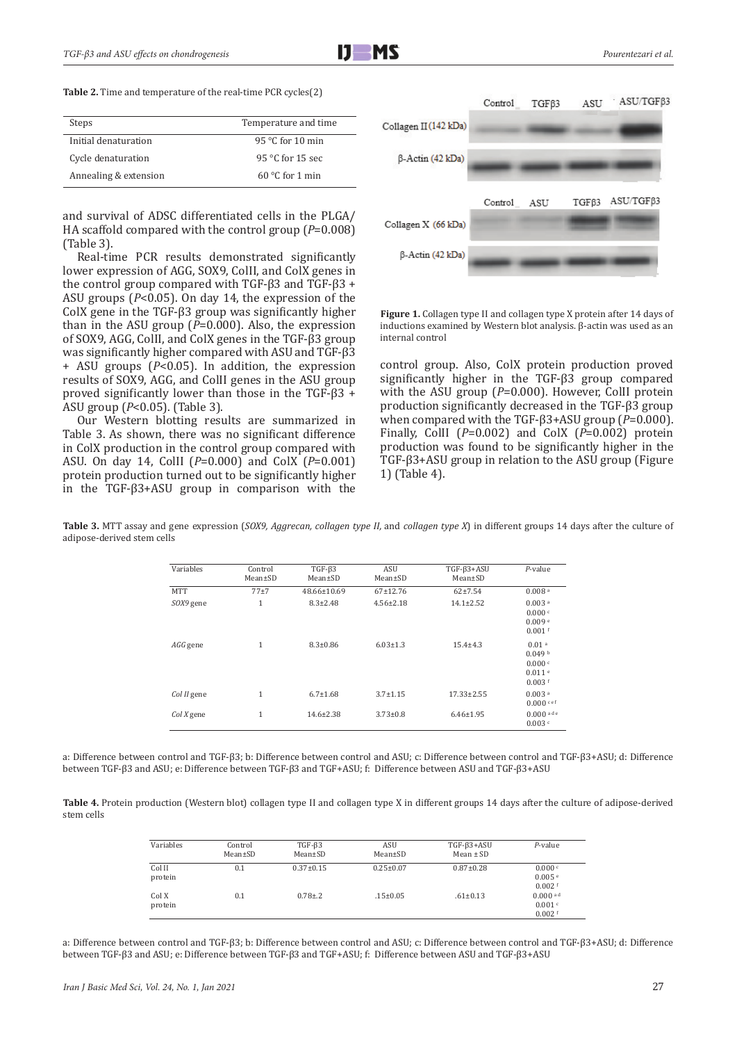**Table 2.** Time and temperature of the real-time PCR cycles(2)

| Steps                 | Temperature and time      |
|-----------------------|---------------------------|
| Initial denaturation  | 95 $\degree$ C for 10 min |
| Cycle denaturation    | $95 °C$ for 15 sec        |
| Annealing & extension | $60^{\circ}$ C for 1 min  |

and survival of ADSC differentiated cells in the PLGA/ HA scaffold compared with the control group (*P*=0.008) (Table 3).

Real-time PCR results demonstrated significantly lower expression of AGG, SOX9, ColII, and ColX genes in the control group compared with TGF-β3 and TGF-β3 + ASU groups (*P*<0.05). On day 14, the expression of the ColX gene in the TGF-β3 group was significantly higher than in the ASU group (*P*=0.000). Also, the expression of SOX9, AGG, ColII, and ColX genes in the TGF-β3 group was significantly higher compared with ASU and TGF-β3 + ASU groups (*P*<0.05). In addition, the expression results of SOX9, AGG, and ColII genes in the ASU group proved significantly lower than those in the TGF-β3 + ASU group (*P*<0.05). (Table 3).

Our Western blotting results are summarized in Table 3. As shown, there was no significant difference in ColX production in the control group compared with ASU. On day 14, ColII (*P*=0.000) and ColX (*P*=0.001) protein production turned out to be significantly higher in the TGF-β3+ASU group in comparison with the



**Figure 1.** Collagen type II and collagen type X protein after 14 days of inductions examined by Western blot analysis. β-actin was used as an internal control

control group. Also, ColX protein production proved significantly higher in the TGF-β3 group compared with the ASU group (P=0.000). However, CollI protein production significantly decreased in the TGF-β3 group when compared with the TGF-β3+ASU group (*P*=0.000). Finally, ColII (*P*=0.002) and ColX (*P*=0.002) protein production was found to be significantly higher in the TGF-β3+ASU group in relation to the ASU group (Figure 1) (Table 4).

| Variables   | Control<br>Mean±SD | $TGF-\beta3$<br>Mean±SD | ASU<br>Mean±SD  | $TGF-\beta3+ASU$<br>Mean±SD | $P$ -value                                                               |
|-------------|--------------------|-------------------------|-----------------|-----------------------------|--------------------------------------------------------------------------|
| <b>MTT</b>  | $77+7$             | 48.66±10.69             | $67+12.76$      | $62+7.54$                   | 0.008 <sup>a</sup>                                                       |
| SOX9 gene   | 1                  | $8.3 \pm 2.48$          | $4.56 \pm 2.18$ | $14.1 \pm 2.52$             | $0.003$ <sup>a</sup><br>0.000c<br>0.009e<br>$0.001$ f                    |
| AGG gene    | $\mathbf{1}$       | $8.3 \pm 0.86$          | $6.03 \pm 1.3$  | $15.4 + 4.3$                | 0.01 <sup>a</sup><br>0.049 <sup>b</sup><br>0.000c<br>0.011e<br>$0.003$ f |
| Col II gene | $\mathbf{1}$       | $6.7 \pm 1.68$          | $3.7 \pm 1.15$  | $17.33 \pm 2.55$            | $0.003$ <sup>a</sup><br>$0.000$ cef                                      |
| $ColX$ gene | $\mathbf{1}$       | 14.6±2.38               | $3.73 \pm 0.8$  | $6.46 \pm 1.95$             | $0.000$ ade<br>0.003c                                                    |

**Table 3.** MTT assay and gene expression (*SOX9, Aggrecan, collagen type II,* and *collagen type X*) in different groups 14 days after the culture of adipose-derived stem cells

a: Difference between control and TGF-β3; b: Difference between control and ASU; c: Difference between control and TGF-β3+ASU; d: Difference between TGF-β3 and ASU; e: Difference between TGF-β3 and TGF+ASU; f: Difference between ASU and TGF-β3+ASU

**Table 4.** Protein production (Western blot) collagen type II and collagen type X in different groups 14 days after the culture of adipose-derived stem cells

| Variables         | Control<br>Mean±SD | $TGF-\beta3$<br>Mean±SD | ASU<br>Mean±SD  | $TGF-\beta3+ASU$<br>Mean $\pm$ SD | $P$ -value                                   |
|-------------------|--------------------|-------------------------|-----------------|-----------------------------------|----------------------------------------------|
| Col II<br>protein | 0.1                | $0.37 \pm 0.15$         | $0.25 \pm 0.07$ | $0.87 \pm 0.28$                   | 0.000c<br>0.005e<br>$0.002$ f                |
| Col X<br>protein  | 0.1                | $0.78{\pm}.2$           | $.15 \pm 0.05$  | $.61 \pm 0.13$                    | $0.000$ <sup>ad</sup><br>0.001c<br>$0.002$ f |

a: Difference between control and TGF-β3; b: Difference between control and ASU; c: Difference between control and TGF-β3+ASU; d: Difference between TGF-β3 and ASU; e: Difference between TGF-β3 and TGF+ASU; f: Difference between ASU and TGF-β3+ASU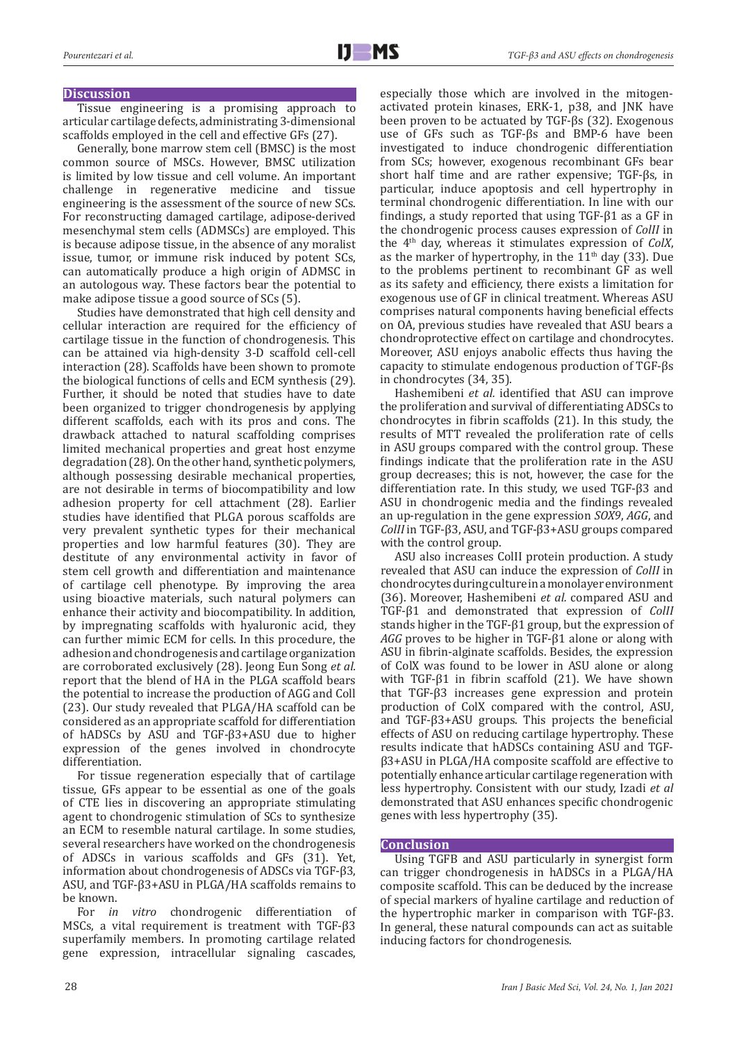#### **Discussion**

Tissue engineering is a promising approach to articular cartilage defects, administrating 3-dimensional scaffolds employed in the cell and effective GFs (27).

Generally, bone marrow stem cell (BMSC) is the most common source of MSCs. However, BMSC utilization is limited by low tissue and cell volume. An important challenge in regenerative medicine and tissue engineering is the assessment of the source of new SCs. For reconstructing damaged cartilage, adipose-derived mesenchymal stem cells (ADMSCs) are employed. This is because adipose tissue, in the absence of any moralist issue, tumor, or immune risk induced by potent SCs, can automatically produce a high origin of ADMSC in an autologous way. These factors bear the potential to make adipose tissue a good source of SCs (5).

Studies have demonstrated that high cell density and cellular interaction are required for the efficiency of cartilage tissue in the function of chondrogenesis. This can be attained via high-density 3-D scaffold cell-cell interaction (28). Scaffolds have been shown to promote the biological functions of cells and ECM synthesis (29). Further, it should be noted that studies have to date been organized to trigger chondrogenesis by applying different scaffolds, each with its pros and cons. The drawback attached to natural scaffolding comprises limited mechanical properties and great host enzyme degradation (28). On the other hand, synthetic polymers, although possessing desirable mechanical properties, are not desirable in terms of biocompatibility and low adhesion property for cell attachment (28). Earlier studies have identified that PLGA porous scaffolds are very prevalent synthetic types for their mechanical properties and low harmful features (30). They are destitute of any environmental activity in favor of stem cell growth and differentiation and maintenance of cartilage cell phenotype. By improving the area using bioactive materials, such natural polymers can enhance their activity and biocompatibility. In addition, by impregnating scaffolds with hyaluronic acid, they can further mimic ECM for cells. In this procedure, the adhesion and chondrogenesis and cartilage organization are corroborated exclusively (28). Jeong Eun Song *et al.* report that the blend of HA in the PLGA scaffold bears the potential to increase the production of AGG and Coll (23). Our study revealed that PLGA/HA scaffold can be considered as an appropriate scaffold for differentiation of hADSCs by ASU and TGF-β3+ASU due to higher expression of the genes involved in chondrocyte differentiation.

For tissue regeneration especially that of cartilage tissue, GFs appear to be essential as one of the goals of CTE lies in discovering an appropriate stimulating agent to chondrogenic stimulation of SCs to synthesize an ECM to resemble natural cartilage. In some studies, several researchers have worked on the chondrogenesis of ADSCs in various scaffolds and GFs (31). Yet, information about chondrogenesis of ADSCs via TGF-β3, ASU, and TGF-β3+ASU in PLGA/HA scaffolds remains to be known.<br>For *in* 

vitro chondrogenic differentiation of MSCs, a vital requirement is treatment with TGF-β3 superfamily members. In promoting cartilage related gene expression, intracellular signaling cascades,

especially those which are involved in the mitogenactivated protein kinases, ERK-1, p38, and JNK have been proven to be actuated by TGF-βs (32). Exogenous use of GFs such as TGF-βs and BMP-6 have been investigated to induce chondrogenic differentiation from SCs; however, exogenous recombinant GFs bear short half time and are rather expensive; TGF-βs, in particular, induce apoptosis and cell hypertrophy in terminal chondrogenic differentiation. In line with our findings, a study reported that using TGF-β1 as a GF in the chondrogenic process causes expression of *ColII* in the 4th day, whereas it stimulates expression of *ColX*, as the marker of hypertrophy, in the  $11<sup>th</sup>$  day (33). Due to the problems pertinent to recombinant GF as well as its safety and efficiency, there exists a limitation for exogenous use of GF in clinical treatment. Whereas ASU comprises natural components having beneficial effects on OA, previous studies have revealed that ASU bears a chondroprotective effect on cartilage and chondrocytes. Moreover, ASU enjoys anabolic effects thus having the capacity to stimulate endogenous production of TGF-βs

in chondrocytes (34, 35). Hashemibeni *et al.* identified that ASU can improve the proliferation and survival of differentiating ADSCs to chondrocytes in fibrin scaffolds (21). In this study, the results of MTT revealed the proliferation rate of cells in ASU groups compared with the control group. These findings indicate that the proliferation rate in the ASU group decreases; this is not, however, the case for the differentiation rate. In this study, we used TGF-β3 and ASU in chondrogenic media and the findings revealed an up-regulation in the gene expression *SOX9*, *AGG*, and *ColII* in TGF-β3, ASU, and TGF-β3+ASU groups compared with the control group.

ASU also increases ColII protein production. A study revealed that ASU can induce the expression of *ColII* in chondrocytes during culture in a monolayer environment (36). Moreover, Hashemibeni *et al.* compared ASU and TGF-β1 and demonstrated that expression of *ColII* stands higher in the TGF-β1 group, but the expression of *AGG* proves to be higher in TGF-β1 alone or along with ASU in fibrin-alginate scaffolds. Besides, the expression of ColX was found to be lower in ASU alone or along with TGF- $β1$  in fibrin scaffold (21). We have shown that TGF-β3 increases gene expression and protein production of ColX compared with the control, ASU, and TGF-β3+ASU groups. This projects the beneficial effects of ASU on reducing cartilage hypertrophy. These results indicate that hADSCs containing ASU and TGFβ3+ASU in PLGA/HA composite scaffold are effective to potentially enhance articular cartilage regeneration with less hypertrophy. Consistent with our study, Izadi *et al*  demonstrated that ASU enhances specific chondrogenic genes with less hypertrophy (35).

#### **Conclusion**

Using TGFB and ASU particularly in synergist form can trigger chondrogenesis in hADSCs in a PLGA/HA composite scaffold. This can be deduced by the increase of special markers of hyaline cartilage and reduction of the hypertrophic marker in comparison with TGF-β3. In general, these natural compounds can act as suitable inducing factors for chondrogenesis.